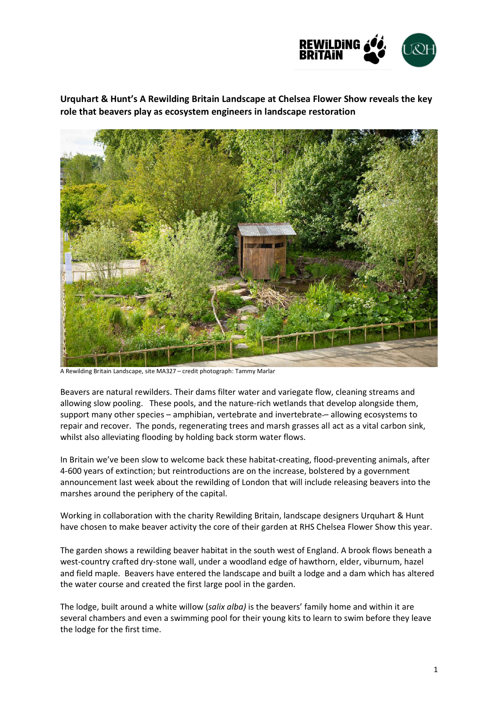

**Urquhart & Hunt's A Rewilding Britain Landscape at Chelsea Flower Show reveals the key role that beavers play as ecosystem engineers in landscape restoration**



A Rewilding Britain Landscape, site MA327 – credit photograph: Tammy Marlar

Beavers are natural rewilders. Their dams filter water and variegate flow, cleaning streams and allowing slow pooling. These pools, and the nature-rich wetlands that develop alongside them, support many other species – amphibian, vertebrate and invertebrate – allowing ecosystems to repair and recover. The ponds, regenerating trees and marsh grasses all act as a vital carbon sink, whilst also alleviating flooding by holding back storm water flows.

In Britain we've been slow to welcome back these habitat-creating, flood-preventing animals, after 4-600 years of extinction; but reintroductions are on the increase, bolstered by a government announcement last week about the rewilding of London that will include releasing beavers into the marshes around the periphery of the capital.

Working in collaboration with the charity Rewilding Britain, landscape designers Urquhart & Hunt have chosen to make beaver activity the core of their garden at RHS Chelsea Flower Show this year.

The garden shows a rewilding beaver habitat in the south west of England. A brook flows beneath a west-country crafted dry-stone wall, under a woodland edge of hawthorn, elder, viburnum, hazel and field maple. Beavers have entered the landscape and built a lodge and a dam which has altered the water course and created the first large pool in the garden.

The lodge, built around a white willow (*salix alba)* is the beavers' family home and within it are several chambers and even a swimming pool for their young kits to learn to swim before they leave the lodge for the first time.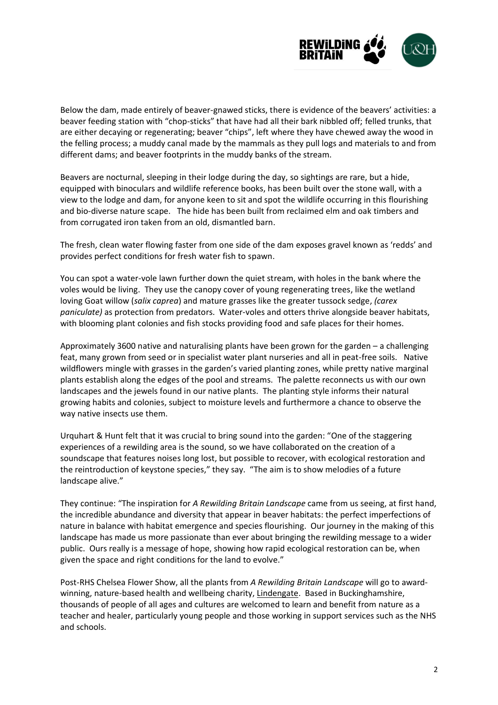

Below the dam, made entirely of beaver-gnawed sticks, there is evidence of the beavers' activities: a beaver feeding station with "chop-sticks" that have had all their bark nibbled off; felled trunks, that are either decaying or regenerating; beaver "chips", left where they have chewed away the wood in the felling process; a muddy canal made by the mammals as they pull logs and materials to and from different dams; and beaver footprints in the muddy banks of the stream.

Beavers are nocturnal, sleeping in their lodge during the day, so sightings are rare, but a hide, equipped with binoculars and wildlife reference books, has been built over the stone wall, with a view to the lodge and dam, for anyone keen to sit and spot the wildlife occurring in this flourishing and bio-diverse nature scape. The hide has been built from reclaimed elm and oak timbers and from corrugated iron taken from an old, dismantled barn.

The fresh, clean water flowing faster from one side of the dam exposes gravel known as 'redds' and provides perfect conditions for fresh water fish to spawn.

You can spot a water-vole lawn further down the quiet stream, with holes in the bank where the voles would be living. They use the canopy cover of young regenerating trees, like the wetland loving Goat willow (*salix caprea*) and mature grasses like the greater tussock sedge, *(carex paniculate)* as protection from predators. Water-voles and otters thrive alongside beaver habitats, with blooming plant colonies and fish stocks providing food and safe places for their homes.

Approximately 3600 native and naturalising plants have been grown for the garden – a challenging feat, many grown from seed or in specialist water plant nurseries and all in peat-free soils. Native wildflowers mingle with grasses in the garden's varied planting zones, while pretty native marginal plants establish along the edges of the pool and streams. The palette reconnects us with our own landscapes and the jewels found in our native plants. The planting style informs their natural growing habits and colonies, subject to moisture levels and furthermore a chance to observe the way native insects use them.

Urquhart & Hunt felt that it was crucial to bring sound into the garden: "One of the staggering experiences of a rewilding area is the sound, so we have collaborated on the creation of a soundscape that features noises long lost, but possible to recover, with ecological restoration and the reintroduction of keystone species," they say. "The aim is to show melodies of a future landscape alive."

They continue: "The inspiration for *A Rewilding Britain Landscape* came from us seeing, at first hand, the incredible abundance and diversity that appear in beaver habitats: the perfect imperfections of nature in balance with habitat emergence and species flourishing. Our journey in the making of this landscape has made us more passionate than ever about bringing the rewilding message to a wider public. Ours really is a message of hope, showing how rapid ecological restoration can be, when given the space and right conditions for the land to evolve."

Post-RHS Chelsea Flower Show, all the plants from *A Rewilding Britain Landscape* will go to awardwinning, nature-based health and wellbeing charity, [Lindengate.](https://www.lindengate.org.uk/) Based in Buckinghamshire, thousands of people of all ages and cultures are welcomed to learn and benefit from nature as a teacher and healer, particularly young people and those working in support services such as the NHS and schools.